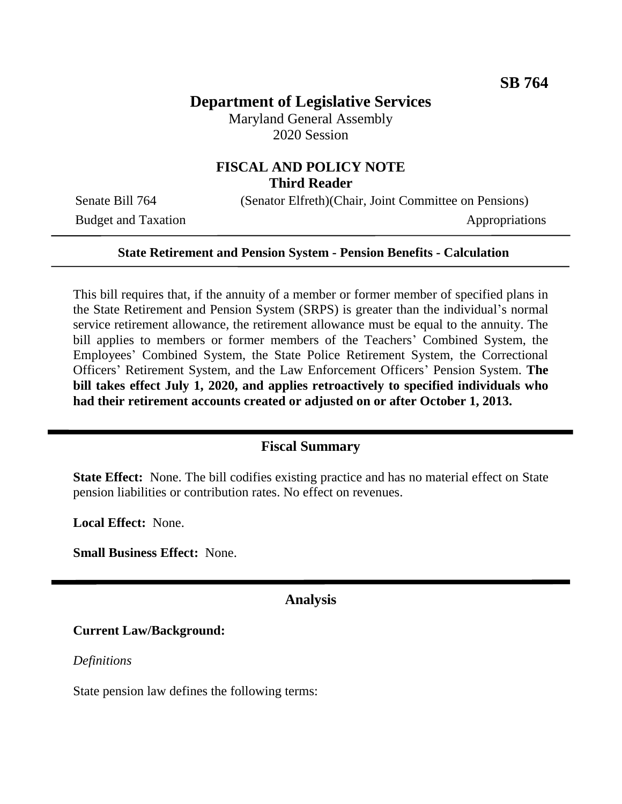# **Department of Legislative Services**

Maryland General Assembly 2020 Session

## **FISCAL AND POLICY NOTE Third Reader**

Budget and Taxation Appropriations

Senate Bill 764 (Senator Elfreth)(Chair, Joint Committee on Pensions)

#### **State Retirement and Pension System - Pension Benefits - Calculation**

This bill requires that, if the annuity of a member or former member of specified plans in the State Retirement and Pension System (SRPS) is greater than the individual's normal service retirement allowance, the retirement allowance must be equal to the annuity. The bill applies to members or former members of the Teachers' Combined System, the Employees' Combined System, the State Police Retirement System, the Correctional Officers' Retirement System, and the Law Enforcement Officers' Pension System. **The bill takes effect July 1, 2020, and applies retroactively to specified individuals who had their retirement accounts created or adjusted on or after October 1, 2013.**

#### **Fiscal Summary**

**State Effect:** None. The bill codifies existing practice and has no material effect on State pension liabilities or contribution rates. No effect on revenues.

**Local Effect:** None.

**Small Business Effect:** None.

#### **Analysis**

#### **Current Law/Background:**

*Definitions*

State pension law defines the following terms: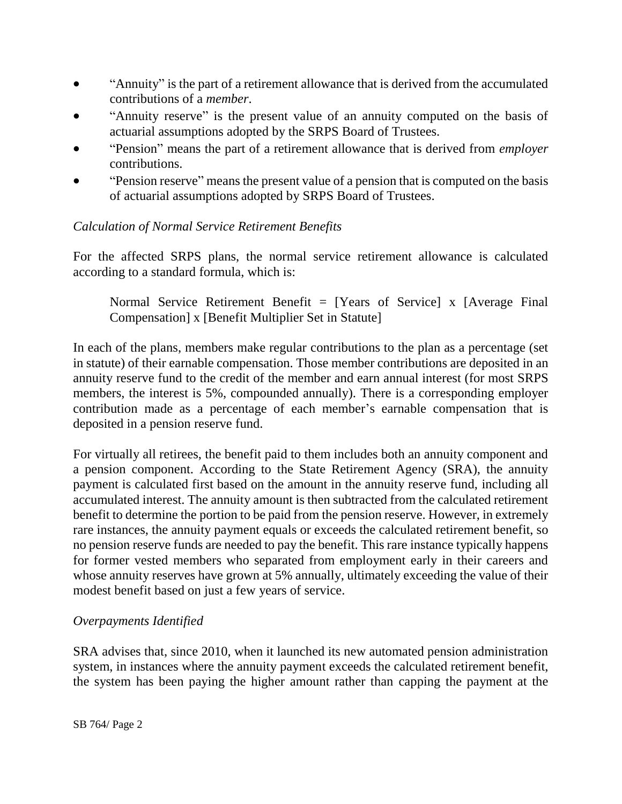- "Annuity" is the part of a retirement allowance that is derived from the accumulated contributions of a *member*.
- "Annuity reserve" is the present value of an annuity computed on the basis of actuarial assumptions adopted by the SRPS Board of Trustees.
- "Pension" means the part of a retirement allowance that is derived from *employer*  contributions.
- "Pension reserve" means the present value of a pension that is computed on the basis of actuarial assumptions adopted by SRPS Board of Trustees.

### *Calculation of Normal Service Retirement Benefits*

For the affected SRPS plans, the normal service retirement allowance is calculated according to a standard formula, which is:

Normal Service Retirement Benefit = [Years of Service] x [Average Final Compensation] x [Benefit Multiplier Set in Statute]

In each of the plans, members make regular contributions to the plan as a percentage (set in statute) of their earnable compensation. Those member contributions are deposited in an annuity reserve fund to the credit of the member and earn annual interest (for most SRPS members, the interest is 5%, compounded annually). There is a corresponding employer contribution made as a percentage of each member's earnable compensation that is deposited in a pension reserve fund.

For virtually all retirees, the benefit paid to them includes both an annuity component and a pension component. According to the State Retirement Agency (SRA), the annuity payment is calculated first based on the amount in the annuity reserve fund, including all accumulated interest. The annuity amount is then subtracted from the calculated retirement benefit to determine the portion to be paid from the pension reserve. However, in extremely rare instances, the annuity payment equals or exceeds the calculated retirement benefit, so no pension reserve funds are needed to pay the benefit. This rare instance typically happens for former vested members who separated from employment early in their careers and whose annuity reserves have grown at 5% annually, ultimately exceeding the value of their modest benefit based on just a few years of service.

### *Overpayments Identified*

SRA advises that, since 2010, when it launched its new automated pension administration system, in instances where the annuity payment exceeds the calculated retirement benefit, the system has been paying the higher amount rather than capping the payment at the